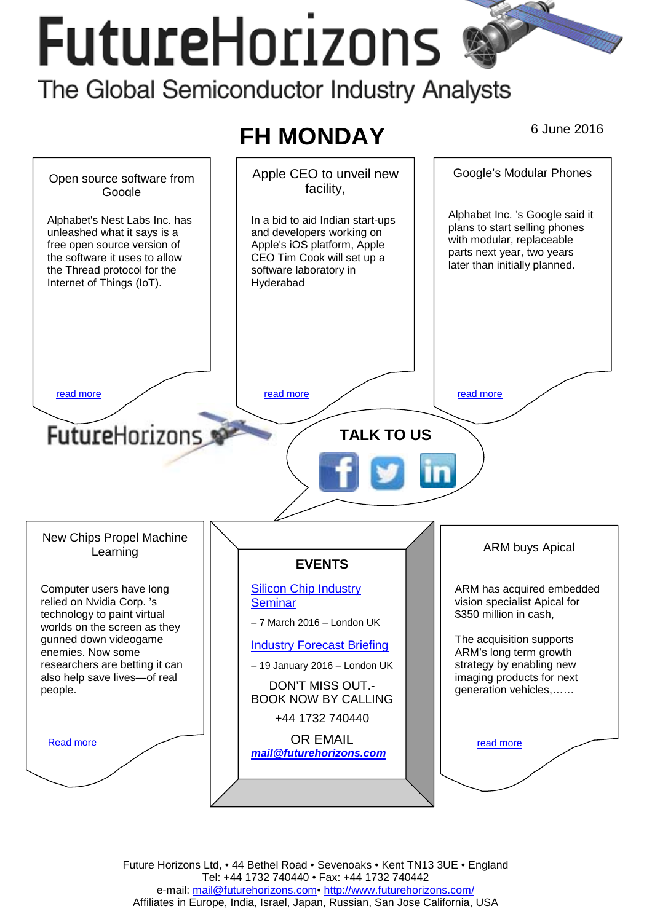# **FutureHorizons**

The Global Semiconductor Industry Analysts



Future Horizons Ltd, • 44 Bethel Road • Sevenoaks • Kent TN13 3UE • England Tel: +44 1732 740440 • Fax: +44 1732 740442 e-mail: mail@futurehorizons.com• http://www.futurehorizons.com/ Affiliates in Europe, India, Israel, Japan, Russian, San Jose California, USA